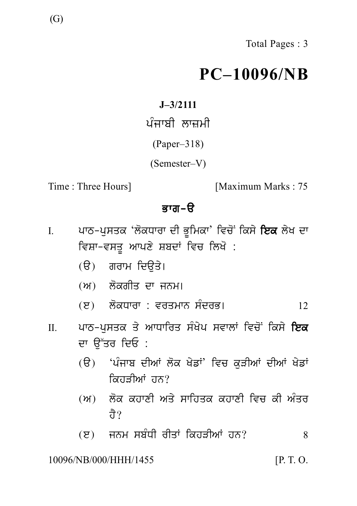# **PC–10096/NB**  $PC-100$ <br> $J=3/2111$ ਪੰਜਾਬੀ ਲਾਜ਼ਮੀ<br>(Paper–318)<br>(Semester V)

**J–3/2111**

(Paper–318)

(Semester–V)

Time : Three Hours] [Maximum Marks : 75

- emester–V)<br>Daximum M<br>**ਭਾਗ–ੳ**<br>ਜ਼ਾਦੀ ਭੂਮਿਕਾ' ਵਿਚੋਂ ਕਿਸੇ **ਇ**ਲ<br>ਜ਼ਾਦੀ ਸ਼ਿਕ ਸਿਖੋ Time : Three Hours]<br>**ਭਾਗ-ੳ<br>I. ਪਾ**ਠ-ਪੁਸਤਕ 'ਲੋਕਧਾਰਾ ਦੀ ਭੂਮਿਕਾ' ਵਿਚੋਂ ਕਿਸੇ **ਇਕ** ਲੇਖ ਦਾ<br>ਵਿਸ਼ਾ-ਵਸਤੂ ਆਪਣੇ ਸ਼ਬਦਾਂ ਵਿਚ ਲਿਖੋ :<br>(ੳ) ਗ਼ਰਾਮ ਜ਼ਿਊਤੇ। ਭਾਗ−ੳ<br>ਪਾਠ−ਪੁਸਤਕ 'ਲੋਕਧਾਰਾ ਦੀ ਭੂਮਿਕਾ' ਵਿਚੋਂ ਕਿਸੇ **ਇਕ** ਲੇਖ ਦਾ<br>ਵਿਸ਼ਾ−ਵਸਤੂ ਆਪਣੇ ਸ਼ਬਦਾਂ ਵਿਚ ਲਿਖੋ :<br>(ੳ) ਗਰਾਮ ਦਿਉਤੇ।<br>⊙ੇ : ਕੋਕਾ<sup>ਤ</sup>ਾ ਕਾ ਕਾਲਾ ਪਾਠ-ਪੁਸਤਕ 'ਲੋਕਧਾਰਾ ਦੀ ਭੂਮਿਕਾ' ਵਿਚੋਂ ਕਿਸ<br>ਵਿਸ਼ਾ-ਵਸਤੂ ਆਪਣੇ ਸ਼ਬਦਾਂ ਵਿਚ ਲਿਖੋ :<br>(ੳ) ਗਰਾਮ ਦਿਉਤੇ।<br>(ਅ) ਲੋਕਗੀਤ ਦਾ ਜਨਮ। ਵਿਸ਼ਾ-ਵਸਤੂ ਆਪਣੇ ਸ਼ਬਦਾਂ ਵਿਚ ਲਿਖੋ :<br>(ੳ) ਗਰਾਮ ਦਿਉਤੇ।<br>(ਅ) ਲੋਕਗੀਤ ਦਾ ਜਨਮ।<br>(ੲ) ਲੋਕਧਾਰਾ : ਵਰਤਮਾਨ ਸੰਦਰਭ।
	-
	-
	-
- (e) l okDwrw : vrqmwn s MdrB[ <sup>12</sup> II. pwT-p usqk q y AwDwirq s MK yp svwlW ivc oN iks y iek (ਜ) ਦਿਸ਼ਗਤ ਦੇ ਜਨਮ<br>(ੲ) ਲੋਕਧਾਰਾ : ਵਰਤਮਾਨ<br>ਪਾਠ-ਪੁਸਤਕ ਤੇ ਆਧਾਰਿਤ ਸੰ<br>ਦਾ ਉੱਤਰ ਦਿਓ :<br>(ੳ) 'ਪੰਜਾਬ ਦੀਆਂ ਲੋਕ ਖੇ<br>ਕਿਹਤੀਆਂ ਹਨ?
	- (ਤ) ਦਿਨਾਂ ਦਾ ਦਾ ਸ਼ਾਹ ਸਾਹਿੰਦਾ<br>ਪਾਠ-ਪੁਸਤਕ ਤੇ ਆਧਾਰਿਤ ਸੰਖੇਪ ਸਵਾਲਾਂ ਵਿਚੋਂ ਕਿਸੇ **ਇਕ**<br>ਦਾ ਉੱਤਰ ਦਿਓ :<br>(ਉ) 'ਪੰਜਾਬ ਦੀਆਂ ਲੋਕ ਖੇਡਾਂ' ਵਿਚ ਕੁੜੀਆਂ ਦੀਆਂ ਖੇਡਾਂ<br>ਕਿਹੜੀਆਂ ਹਨ?<br>(ਅ) ਲੋਕ ਕਹਾਣੀ ਅਤੇ ਸਾਹਿਤਕ ਕਹਾਣੀ ਵਿਚ ਕੀ ਅੰਤਰ ਨਿਹਤੀਆਂ ਹਨ? ਦਾ ਚੁੱਤਰ ਜ਼ਿਲ :<br>(ੳ) 'ਪੰਜਾਬ ਦੀਆਂ ਲੋਕ ਖੇਡਾਂ' ਵਿਚ ਕੁੜੀਆਂ ਦੀਆਂ ਖੇਡਾਂ<br>ਕਿਹੜੀਆਂ ਹਨ?<br>(ਅ) ਲੋਕ ਕਹਾਣੀ ਅਤੇ ਸਾਹਿਤਕ ਕਹਾਣੀ ਵਿਚ ਕੀ ਅੰਤਰ<br>ਹੈ?
	- `ਪਜਾਬ ਦੀਆ ਲਕ ਖਡਾ´<br>ਕਿਹੜੀਆਂ ਹਨ?<br>ਲੋਕ ਕਹਾਣੀ ਅਤੇ ਸਾਹਿਤਾ<br>ਹੈ?<br>ਜਨਮ ਸਬੰਧੀ ਰੀਤਾਂ ਕਿਹੜ (ਅ) ਲੋਕ ਕਹਾਣੀ ਅਤੇ ਸਾਹਿਤਕ ਕਹਾਣੀ ਵਿਚ ਕੀ ਅੰਤਰ $\vec{\sigma}$ ?<br>(ੲ) ਜਨਮ ਸਬੰਧੀ ਰੀਤਾਂ ਕਿਹੜੀਆਂ ਹਨ? 8<br>NB/000/HHH/1455 [P.T.O.
	-

# 10096/NB/000/HHH/1455 [P. T. O.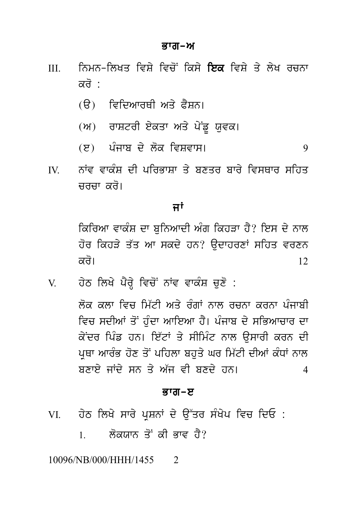### ਭਾਗ–ਅ

- ਨਿਮਨ-ਲਿਖਤ ਵਿਸੇ ਵਿਚੋਂ ਕਿਸੇ **ਇਕ** ਵਿਸੇ ਤੇ ਲੇਖ ਰਚਨਾ  $III$ ਕਰੋ ·
	- (ੳ) ਵਿਦਿਆਰਥੀ ਅਤੇ ਫ਼ੈਸਨ।
	- (ਅ) ਰਾਸ਼ਟਰੀ ਏਕਤਾ ਅਤੇ ਪੇਂਡੂ ਯੁਵਕ।
	- (ੲ) ਪੰਜਾਬ ਦੇ ਲੋਕ ਵਿਸ਼ਵਾਸ। 9
- ਨਾਂਵ ਵਾਕੰਸ਼ ਦੀ ਪਰਿਭਾਸ਼ਾ ਤੇ ਬਣਤਰ ਬਾਰੇ ਵਿਸਥਾਰ ਸ਼ਹਿਤ  $\mathbf{W}$ ਚਰਚਾ ਕਰੋ।

## ਜਾਂ

ਕਿਰਿਆ ਵਾਕੰਸ਼ ਦਾ ਬਨਿਆਦੀ ਅੰਗ ਕਿਹੜਾ ਹੈ? ਇਸ ਦੇ ਨਾਲ ਹੋਰ ਕਿਹੜੇ ਤੱਤ ਆ ਸਕਦੇ ਹਨ? ਉਦਾਹਰਣਾਂ ਸਹਿਤ ਵਰਣਨ ਕਰੋ।  $12.$ 

ਹੇਠ ਲਿਖੇ ਪੈਰੇ ਵਿਚੋਂ ਨਾਂਵ ਵਾਕੰਸ਼ ਚਣੋ :  $V$ 

> ਲੋਕ ਕਲਾ ਵਿਚ ਮਿੱਟੀ ਅਤੇ ਰੰਗਾਂ ਨਾਲ ਰਚਨਾ ਕਰਨਾ ਪੰਜਾਬੀ ਵਿਚ ਸਦੀਆਂ ਤੋਂ ਹੰਦਾ ਆਇਆ ਹੈ। ਪੰਜਾਬ ਦੇ ਸਭਿਆਚਾਰ ਦਾ ਕੇਂਦਰ ਪਿੰਡ ਹਨ। ਇੱਟਾਂ ਤੇ ਸੀਮਿੰਟ ਨਾਲ ਉਸਾਰੀ ਕਰਨ ਦੀ ਪਥਾ ਆਰੰਭ ਹੋਣ ਤੋਂ ਪਹਿਲਾ ਬਹਤੇ ਘਰ ਮਿੱਟੀ ਦੀਆਂ ਕੰਧਾਂ ਨਾਲ ਸਨਾਏ ਜਾਂਦੇ ਸਨ ਤੇ ਅੱਜ ਵੀ ਸਨਦੇ ਹਨ।  $\boldsymbol{\varDelta}$

### ਕਾਗ–ਸ

- ਹੇਠ ਲਿਖੇ ਸਾਰੇ ਪੁਸ਼ਨਾਂ ਦੇ ਉੱਤਰ ਸੰਖੇਪ ਵਿਚ ਦਿਓ : VI
	- ਲੋਕਯਾਨ ਤੋਂ ਕੀ ਕਾਵ ਹੈ?  $1$

### 10096/NB/000/HHH/1455  $\mathcal{D}$